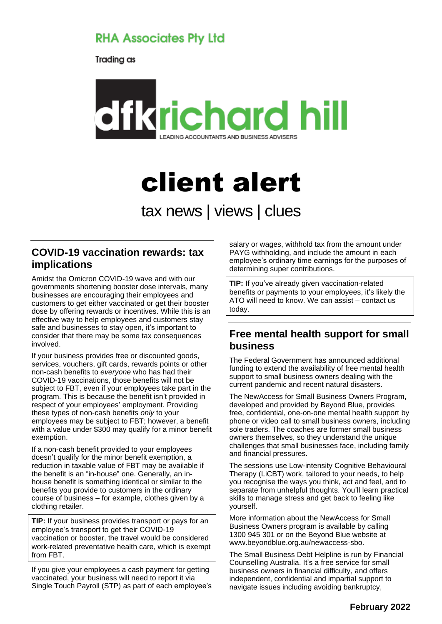# **RHA Associates Pty Ltd**

Trading as



# client alert

tax news | views | clues

#### **COVID-19 vaccination rewards: tax implications**

Amidst the Omicron COVID-19 wave and with our governments shortening booster dose intervals, many businesses are encouraging their employees and customers to get either vaccinated or get their booster dose by offering rewards or incentives. While this is an effective way to help employees and customers stay safe and businesses to stay open, it's important to consider that there may be some tax consequences involved.

If your business provides free or discounted goods, services, vouchers, gift cards, rewards points or other non-cash benefits to *everyone* who has had their COVID-19 vaccinations, those benefits will not be subject to FBT, even if your employees take part in the program. This is because the benefit isn't provided in respect of your employees' employment. Providing these types of non-cash benefits *only* to your employees may be subject to FBT; however, a benefit with a value under \$300 may qualify for a minor benefit exemption.

If a non-cash benefit provided to your employees doesn't qualify for the minor benefit exemption, a reduction in taxable value of FBT may be available if the benefit is an "in-house" one. Generally, an inhouse benefit is something identical or similar to the benefits you provide to customers in the ordinary course of business – for example, clothes given by a clothing retailer.

**TIP:** If your business provides transport or pays for an employee's transport to get their COVID-19 vaccination or booster, the travel would be considered work-related preventative health care, which is exempt from FBT.

If you give your employees a cash payment for getting vaccinated, your business will need to report it via Single Touch Payroll (STP) as part of each employee's

salary or wages, withhold tax from the amount under PAYG withholding, and include the amount in each employee's ordinary time earnings for the purposes of determining super contributions.

**TIP:** If you've already given vaccination-related benefits or payments to your employees, it's likely the ATO will need to know. We can assist – contact us today.

## **Free mental health support for small business**

The Federal Government has announced additional funding to extend the availability of free mental health support to small business owners dealing with the current pandemic and recent natural disasters.

The NewAccess for Small Business Owners Program, developed and provided by Beyond Blue, provides free, confidential, one-on-one mental health support by phone or video call to small business owners, including sole traders. The coaches are former small business owners themselves, so they understand the unique challenges that small businesses face, including family and financial pressures.

The sessions use Low-intensity Cognitive Behavioural Therapy (LiCBT) work, tailored to your needs, to help you recognise the ways you think, act and feel, and to separate from unhelpful thoughts. You'll learn practical skills to manage stress and get back to feeling like yourself.

More information about the NewAccess for Small Business Owners program is available by calling 1300 945 301 or on the Beyond Blue website at www.beyondblue.org.au/newaccess-sbo.

The Small Business Debt Helpline is run by Financial Counselling Australia. It's a free service for small business owners in financial difficulty, and offers independent, confidential and impartial support to navigate issues including avoiding bankruptcy,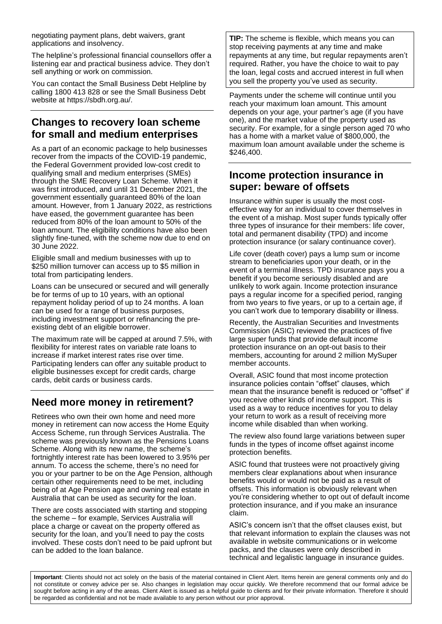negotiating payment plans, debt waivers, grant applications and insolvency.

The helpline's professional financial counsellors offer a listening ear and practical business advice. They don't sell anything or work on commission.

You can contact the Small Business Debt Helpline by calling 1800 413 828 or see the Small Business Debt website at https://sbdh.org.au/.

#### **Changes to recovery loan scheme for small and medium enterprises**

As a part of an economic package to help businesses recover from the impacts of the COVID-19 pandemic, the Federal Government provided low-cost credit to qualifying small and medium enterprises (SMEs) through the SME Recovery Loan Scheme. When it was first introduced, and until 31 December 2021, the government essentially guaranteed 80% of the loan amount. However, from 1 January 2022, as restrictions have eased, the government guarantee has been reduced from 80% of the loan amount to 50% of the loan amount. The eligibility conditions have also been slightly fine-tuned, with the scheme now due to end on 30 June 2022.

Eligible small and medium businesses with up to \$250 million turnover can access up to \$5 million in total from participating lenders.

Loans can be unsecured or secured and will generally be for terms of up to 10 years, with an optional repayment holiday period of up to 24 months. A loan can be used for a range of business purposes, including investment support or refinancing the preexisting debt of an eligible borrower.

The maximum rate will be capped at around 7.5%, with flexibility for interest rates on variable rate loans to increase if market interest rates rise over time. Participating lenders can offer any suitable product to eligible businesses except for credit cards, charge cards, debit cards or business cards.

## **Need more money in retirement?**

Retirees who own their own home and need more money in retirement can now access the Home Equity Access Scheme, run through Services Australia. The scheme was previously known as the Pensions Loans Scheme. Along with its new name, the scheme's fortnightly interest rate has been lowered to 3.95% per annum. To access the scheme, there's no need for you or your partner to be on the Age Pension, although certain other requirements need to be met, including being of at Age Pension age and owning real estate in Australia that can be used as security for the loan.

There are costs associated with starting and stopping the scheme – for example, Services Australia will place a charge or caveat on the property offered as security for the loan, and you'll need to pay the costs involved. These costs don't need to be paid upfront but can be added to the loan balance.

**TIP:** The scheme is flexible, which means you can stop receiving payments at any time and make repayments at any time, but regular repayments aren't required. Rather, you have the choice to wait to pay the loan, legal costs and accrued interest in full when you sell the property you've used as security.

Payments under the scheme will continue until you reach your maximum loan amount. This amount depends on your age, your partner's age (if you have one), and the market value of the property used as security. For example, for a single person aged 70 who has a home with a market value of \$800,000, the maximum loan amount available under the scheme is \$246,400.

## **Income protection insurance in super: beware of offsets**

Insurance within super is usually the most costeffective way for an individual to cover themselves in the event of a mishap. Most super funds typically offer three types of insurance for their members: life cover, total and permanent disability (TPD) and income protection insurance (or salary continuance cover).

Life cover (death cover) pays a lump sum or income stream to beneficiaries upon your death, or in the event of a terminal illness. TPD insurance pays you a benefit if you become seriously disabled and are unlikely to work again. Income protection insurance pays a regular income for a specified period, ranging from two years to five years, or up to a certain age, if you can't work due to temporary disability or illness.

Recently, the Australian Securities and Investments Commission (ASIC) reviewed the practices of five large super funds that provide default income protection insurance on an opt-out basis to their members, accounting for around 2 million MySuper member accounts.

Overall, ASIC found that most income protection insurance policies contain "offset" clauses, which mean that the insurance benefit is reduced or "offset" if you receive other kinds of income support. This is used as a way to reduce incentives for you to delay your return to work as a result of receiving more income while disabled than when working.

The review also found large variations between super funds in the types of income offset against income protection benefits.

ASIC found that trustees were not proactively giving members clear explanations about when insurance benefits would or would not be paid as a result of offsets. This information is obviously relevant when you're considering whether to opt out of default income protection insurance, and if you make an insurance claim.

ASIC's concern isn't that the offset clauses exist, but that relevant information to explain the clauses was not available in website communications or in welcome packs, and the clauses were only described in technical and legalistic language in insurance guides.

**Important**: Clients should not act solely on the basis of the material contained in Client Alert. Items herein are general comments only and do not constitute or convey advice per se. Also changes in legislation may occur quickly. We therefore recommend that our formal advice be sought before acting in any of the areas. Client Alert is issued as a helpful quide to clients and for their private information. Therefore it should be regarded as confidential and not be made available to any person without our prior approval.